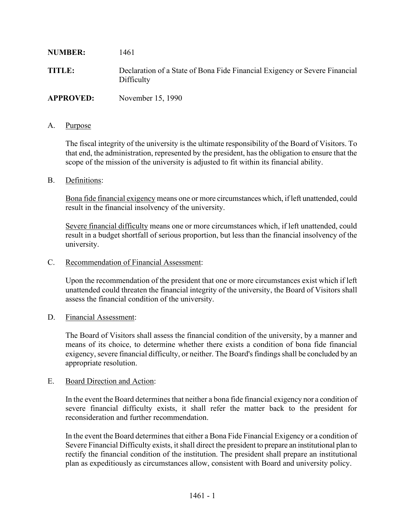| <b>NUMBER:</b>   | 1461                                                                                     |
|------------------|------------------------------------------------------------------------------------------|
| <b>TITLE:</b>    | Declaration of a State of Bona Fide Financial Exigency or Severe Financial<br>Difficulty |
| <b>APPROVED:</b> | November 15, 1990                                                                        |

# A. Purpose

The fiscal integrity of the university is the ultimate responsibility of the Board of Visitors. To that end, the administration, represented by the president, has the obligation to ensure that the scope of the mission of the university is adjusted to fit within its financial ability.

## B. Definitions:

Bona fide financial exigency means one or more circumstances which, if left unattended, could result in the financial insolvency of the university.

Severe financial difficulty means one or more circumstances which, if left unattended, could result in a budget shortfall of serious proportion, but less than the financial insolvency of the university.

### C. Recommendation of Financial Assessment:

Upon the recommendation of the president that one or more circumstances exist which if left unattended could threaten the financial integrity of the university, the Board of Visitors shall assess the financial condition of the university.

## D. Financial Assessment:

The Board of Visitors shall assess the financial condition of the university, by a manner and means of its choice, to determine whether there exists a condition of bona fide financial exigency, severe financial difficulty, or neither. The Board's findings shall be concluded by an appropriate resolution.

## E. Board Direction and Action:

In the event the Board determines that neither a bona fide financial exigency nor a condition of severe financial difficulty exists, it shall refer the matter back to the president for reconsideration and further recommendation.

In the event the Board determines that either a Bona Fide Financial Exigency or a condition of Severe Financial Difficulty exists, it shall direct the president to prepare an institutional plan to rectify the financial condition of the institution. The president shall prepare an institutional plan as expeditiously as circumstances allow, consistent with Board and university policy.